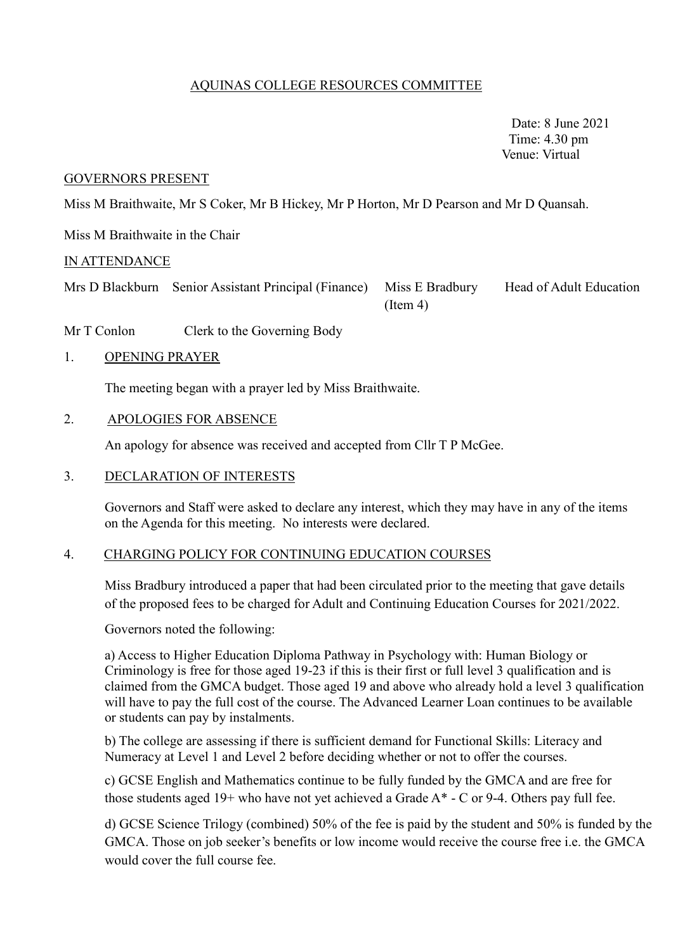# AQUINAS COLLEGE RESOURCES COMMITTEE

 Date: 8 June 2021 Time: 4.30 pm Venue: Virtual

#### GOVERNORS PRESENT

Miss M Braithwaite, Mr S Coker, Mr B Hickey, Mr P Horton, Mr D Pearson and Mr D Quansah.

Miss M Braithwaite in the Chair

#### IN ATTENDANCE

Mrs D Blackburn Senior Assistant Principal (Finance) Miss E Bradbury Head of Adult Education

 $(Item 4)$ 

Mr T Conlon Clerk to the Governing Body

#### 1. OPENING PRAYER

The meeting began with a prayer led by Miss Braithwaite.

### 2. APOLOGIES FOR ABSENCE

An apology for absence was received and accepted from Cllr T P McGee.

### 3. DECLARATION OF INTERESTS

Governors and Staff were asked to declare any interest, which they may have in any of the items on the Agenda for this meeting. No interests were declared.

#### 4. CHARGING POLICY FOR CONTINUING EDUCATION COURSES

Miss Bradbury introduced a paper that had been circulated prior to the meeting that gave details of the proposed fees to be charged for Adult and Continuing Education Courses for 2021/2022.

Governors noted the following:

a) Access to Higher Education Diploma Pathway in Psychology with: Human Biology or Criminology is free for those aged 19-23 if this is their first or full level 3 qualification and is claimed from the GMCA budget. Those aged 19 and above who already hold a level 3 qualification will have to pay the full cost of the course. The Advanced Learner Loan continues to be available or students can pay by instalments.

b) The college are assessing if there is sufficient demand for Functional Skills: Literacy and Numeracy at Level 1 and Level 2 before deciding whether or not to offer the courses.

c) GCSE English and Mathematics continue to be fully funded by the GMCA and are free for those students aged 19+ who have not yet achieved a Grade  $A^*$  - C or 9-4. Others pay full fee.

d) GCSE Science Trilogy (combined) 50% of the fee is paid by the student and 50% is funded by the GMCA. Those on job seeker's benefits or low income would receive the course free i.e. the GMCA would cover the full course fee.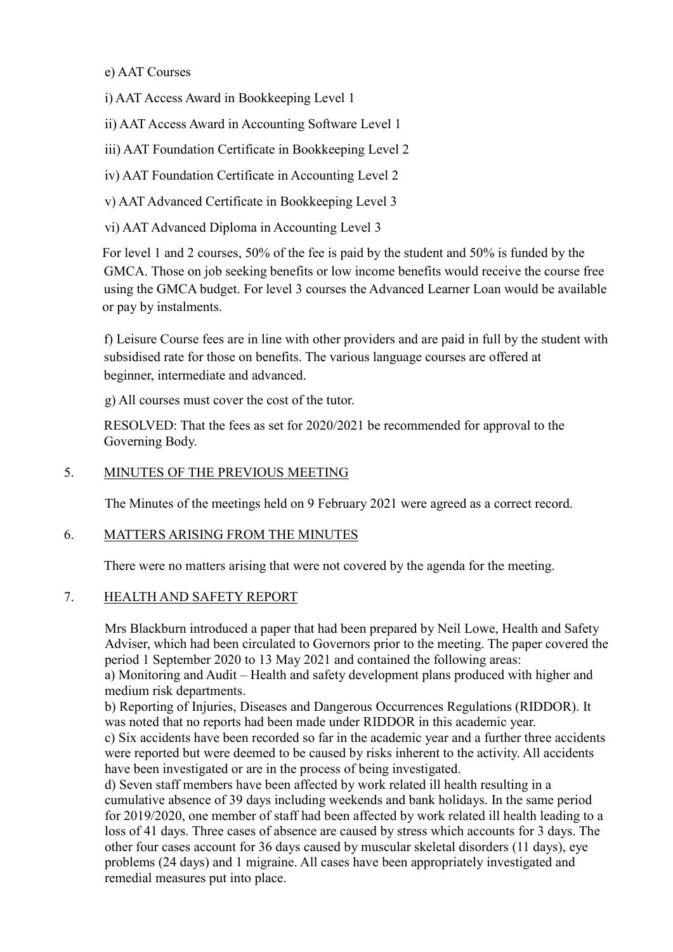## e) AAT Courses

i) AAT Access Award in Bookkeeping Level 1

ii) AAT Access Award in Accounting Software Level 1

iii) AAT Foundation Certificate in Bookkeeping Level 2

iv) AAT Foundation Certificate in Accounting Level 2

v) AAT Advanced Certificate in Bookkeeping Level 3

vi) AAT Advanced Diploma in Accounting Level 3

For level 1 and 2 courses, 50% of the fee is paid by the student and 50% is funded by the GMCA. Those on job seeking benefits or low income benefits would receive the course free using the GMCA budget. For level 3 courses the Advanced Learner Loan would be available or pay by instalments.

 f) Leisure Course fees are in line with other providers and are paid in full by the student with subsidised rate for those on benefits. The various language courses are offered at beginner, intermediate and advanced.

g) All courses must cover the cost of the tutor.

 RESOLVED: That the fees as set for 2020/2021 be recommended for approval to the Governing Body.

## 5. MINUTES OF THE PREVIOUS MEETING

The Minutes of the meetings held on 9 February 2021 were agreed as a correct record.

## 6. MATTERS ARISING FROM THE MINUTES

There were no matters arising that were not covered by the agenda for the meeting.

#### 7. HEALTH AND SAFETY REPORT

Mrs Blackburn introduced a paper that had been prepared by Neil Lowe, Health and Safety Adviser, which had been circulated to Governors prior to the meeting. The paper covered the period 1 September 2020 to 13 May 2021 and contained the following areas: a) Monitoring and Audit – Health and safety development plans produced with higher and medium risk departments.

b) Reporting of Injuries, Diseases and Dangerous Occurrences Regulations (RIDDOR). It was noted that no reports had been made under RIDDOR in this academic year.

c) Six accidents have been recorded so far in the academic year and a further three accidents were reported but were deemed to be caused by risks inherent to the activity. All accidents have been investigated or are in the process of being investigated.

d) Seven staff members have been affected by work related ill health resulting in a cumulative absence of 39 days including weekends and bank holidays. In the same period for 2019/2020, one member of staff had been affected by work related ill health leading to a loss of 41 days. Three cases of absence are caused by stress which accounts for 3 days. The other four cases account for 36 days caused by muscular skeletal disorders (11 days), eye problems (24 days) and 1 migraine. All cases have been appropriately investigated and remedial measures put into place.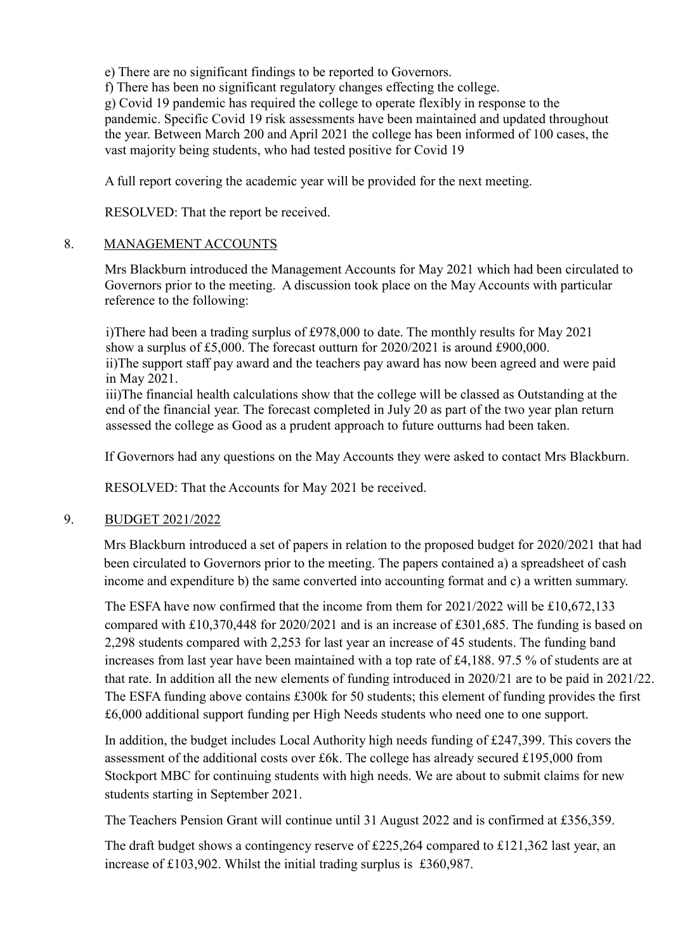e) There are no significant findings to be reported to Governors.

f) There has been no significant regulatory changes effecting the college.

g) Covid 19 pandemic has required the college to operate flexibly in response to the pandemic. Specific Covid 19 risk assessments have been maintained and updated throughout the year. Between March 200 and April 2021 the college has been informed of 100 cases, the vast majority being students, who had tested positive for Covid 19

A full report covering the academic year will be provided for the next meeting.

RESOLVED: That the report be received.

## 8. MANAGEMENT ACCOUNTS

Mrs Blackburn introduced the Management Accounts for May 2021 which had been circulated to Governors prior to the meeting. A discussion took place on the May Accounts with particular reference to the following:

i)There had been a trading surplus of £978,000 to date. The monthly results for May 2021 show a surplus of £5,000. The forecast outturn for 2020/2021 is around £900,000. ii)The support staff pay award and the teachers pay award has now been agreed and were paid in May 2021.

iii)The financial health calculations show that the college will be classed as Outstanding at the end of the financial year. The forecast completed in July 20 as part of the two year plan return assessed the college as Good as a prudent approach to future outturns had been taken.

If Governors had any questions on the May Accounts they were asked to contact Mrs Blackburn.

RESOLVED: That the Accounts for May 2021 be received.

## 9. BUDGET 2021/2022

 Mrs Blackburn introduced a set of papers in relation to the proposed budget for 2020/2021 that had been circulated to Governors prior to the meeting. The papers contained a) a spreadsheet of cash income and expenditure b) the same converted into accounting format and c) a written summary.

The ESFA have now confirmed that the income from them for 2021/2022 will be £10,672,133 compared with £10,370,448 for 2020/2021 and is an increase of £301,685. The funding is based on 2,298 students compared with 2,253 for last year an increase of 45 students. The funding band increases from last year have been maintained with a top rate of £4,188. 97.5 % of students are at that rate. In addition all the new elements of funding introduced in 2020/21 are to be paid in 2021/22. The ESFA funding above contains £300k for 50 students; this element of funding provides the first £6,000 additional support funding per High Needs students who need one to one support.

In addition, the budget includes Local Authority high needs funding of £247,399. This covers the assessment of the additional costs over £6k. The college has already secured £195,000 from Stockport MBC for continuing students with high needs. We are about to submit claims for new students starting in September 2021.

The Teachers Pension Grant will continue until 31 August 2022 and is confirmed at £356,359.

The draft budget shows a contingency reserve of £225,264 compared to £121,362 last year, an increase of £103,902. Whilst the initial trading surplus is £360,987.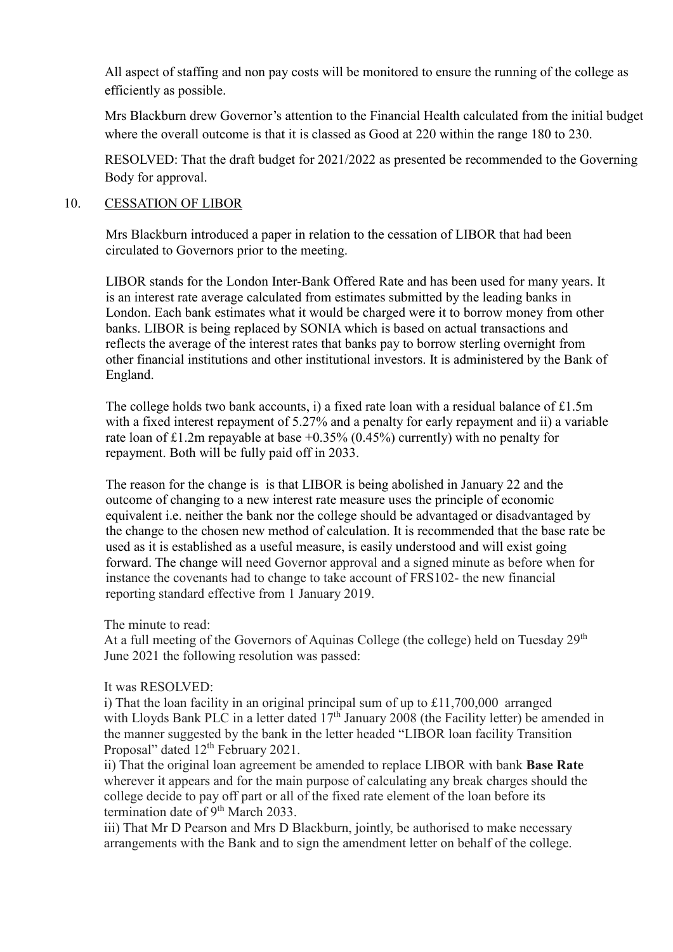All aspect of staffing and non pay costs will be monitored to ensure the running of the college as efficiently as possible.

Mrs Blackburn drew Governor's attention to the Financial Health calculated from the initial budget where the overall outcome is that it is classed as Good at 220 within the range 180 to 230.

RESOLVED: That the draft budget for 2021/2022 as presented be recommended to the Governing Body for approval.

### 10. CESSATION OF LIBOR

Mrs Blackburn introduced a paper in relation to the cessation of LIBOR that had been circulated to Governors prior to the meeting.

LIBOR stands for the London Inter-Bank Offered Rate and has been used for many years. It is an interest rate average calculated from estimates submitted by the leading banks in London. Each bank estimates what it would be charged were it to borrow money from other banks. LIBOR is being replaced by SONIA which is based on actual transactions and reflects the average of the interest rates that banks pay to borrow sterling overnight from other financial institutions and other institutional investors. It is administered by the Bank of England.

The college holds two bank accounts, i) a fixed rate loan with a residual balance of £1.5m with a fixed interest repayment of 5.27% and a penalty for early repayment and ii) a variable rate loan of £1.2m repayable at base  $+0.35\%$  (0.45%) currently) with no penalty for repayment. Both will be fully paid off in 2033.

The reason for the change is is that LIBOR is being abolished in January 22 and the outcome of changing to a new interest rate measure uses the principle of economic equivalent i.e. neither the bank nor the college should be advantaged or disadvantaged by the change to the chosen new method of calculation. It is recommended that the base rate be used as it is established as a useful measure, is easily understood and will exist going forward. The change will need Governor approval and a signed minute as before when for instance the covenants had to change to take account of FRS102- the new financial reporting standard effective from 1 January 2019.

The minute to read:

At a full meeting of the Governors of Aquinas College (the college) held on Tuesday 29<sup>th</sup> June 2021 the following resolution was passed:

#### It was RESOLVED:

 i) That the loan facility in an original principal sum of up to £11,700,000 arranged with Lloyds Bank PLC in a letter dated  $17<sup>th</sup>$  January 2008 (the Facility letter) be amended in the manner suggested by the bank in the letter headed "LIBOR loan facility Transition Proposal" dated 12<sup>th</sup> February 2021.

 ii) That the original loan agreement be amended to replace LIBOR with bank **Base Rate** wherever it appears and for the main purpose of calculating any break charges should the college decide to pay off part or all of the fixed rate element of the loan before its termination date of 9<sup>th</sup> March 2033.

 iii) That Mr D Pearson and Mrs D Blackburn, jointly, be authorised to make necessary arrangements with the Bank and to sign the amendment letter on behalf of the college.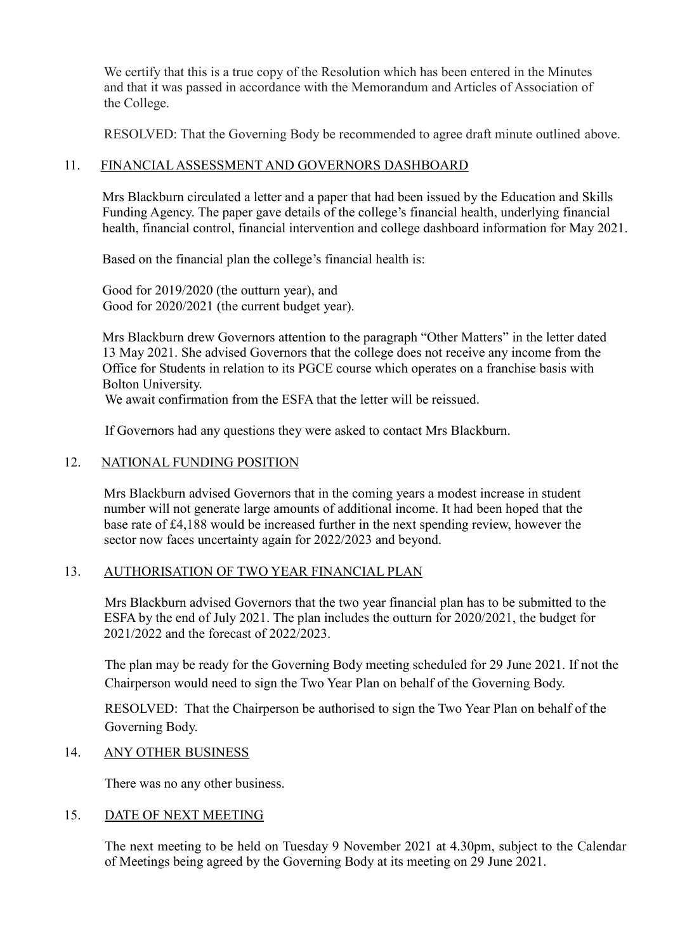We certify that this is a true copy of the Resolution which has been entered in the Minutes and that it was passed in accordance with the Memorandum and Articles of Association of the College.

RESOLVED: That the Governing Body be recommended to agree draft minute outlined above.

### 11. FINANCIAL ASSESSMENT AND GOVERNORS DASHBOARD

Mrs Blackburn circulated a letter and a paper that had been issued by the Education and Skills Funding Agency. The paper gave details of the college's financial health, underlying financial health, financial control, financial intervention and college dashboard information for May 2021.

Based on the financial plan the college's financial health is:

Good for 2019/2020 (the outturn year), and Good for 2020/2021 (the current budget year).

Mrs Blackburn drew Governors attention to the paragraph "Other Matters" in the letter dated 13 May 2021. She advised Governors that the college does not receive any income from the Office for Students in relation to its PGCE course which operates on a franchise basis with Bolton University.

We await confirmation from the ESFA that the letter will be reissued.

If Governors had any questions they were asked to contact Mrs Blackburn.

### 12. NATIONAL FUNDING POSITION

Mrs Blackburn advised Governors that in the coming years a modest increase in student number will not generate large amounts of additional income. It had been hoped that the base rate of £4,188 would be increased further in the next spending review, however the sector now faces uncertainty again for 2022/2023 and beyond.

#### 13. AUTHORISATION OF TWO YEAR FINANCIAL PLAN

Mrs Blackburn advised Governors that the two year financial plan has to be submitted to the ESFA by the end of July 2021. The plan includes the outturn for 2020/2021, the budget for 2021/2022 and the forecast of 2022/2023.

The plan may be ready for the Governing Body meeting scheduled for 29 June 2021. If not the Chairperson would need to sign the Two Year Plan on behalf of the Governing Body.

RESOLVED: That the Chairperson be authorised to sign the Two Year Plan on behalf of the Governing Body.

#### 14. ANY OTHER BUSINESS

There was no any other business.

### 15. DATE OF NEXT MEETING

The next meeting to be held on Tuesday 9 November 2021 at 4.30pm, subject to the Calendar of Meetings being agreed by the Governing Body at its meeting on 29 June 2021.